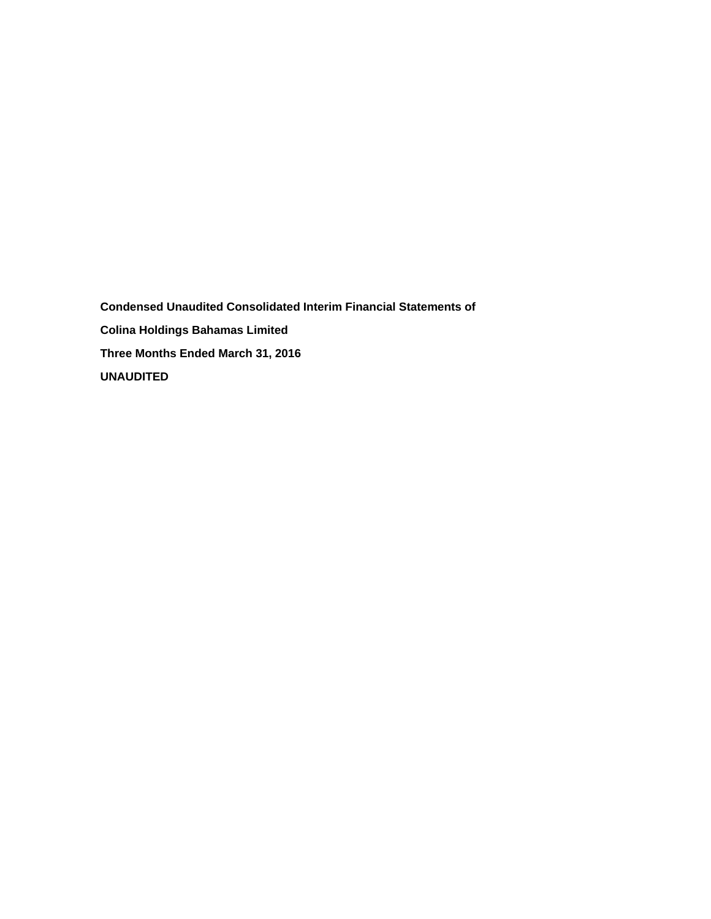**Condensed Unaudited Consolidated Interim Financial Statements of Colina Holdings Bahamas Limited Three Months Ended March 31, 2016 UNAUDITED**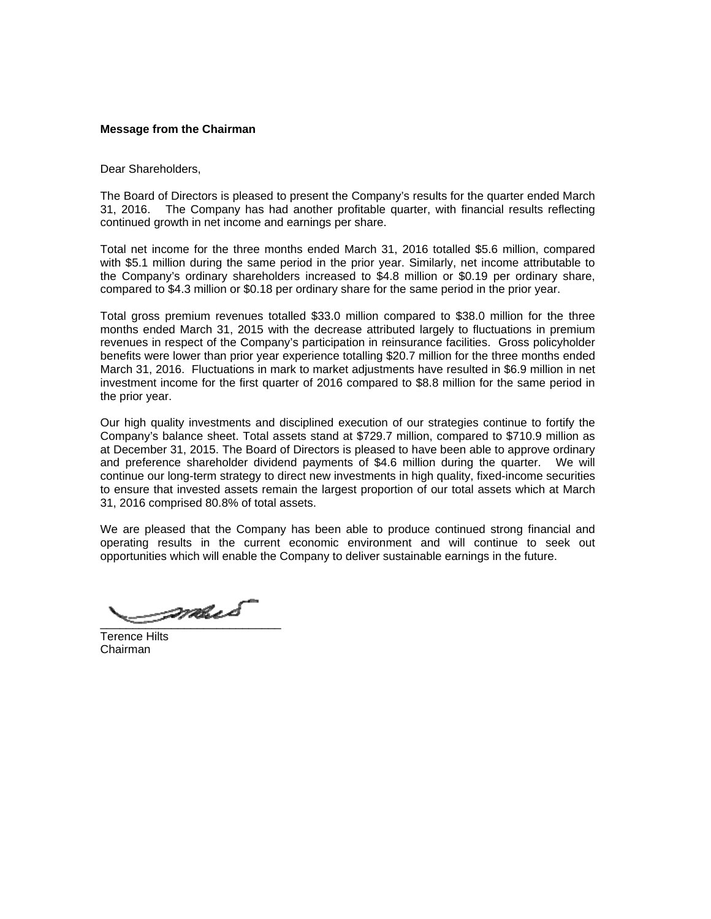## **Message from the Chairman**

Dear Shareholders,

The Board of Directors is pleased to present the Company's results for the quarter ended March 31, 2016. The Company has had another profitable quarter, with financial results reflecting continued growth in net income and earnings per share.

Total net income for the three months ended March 31, 2016 totalled \$5.6 million, compared with \$5.1 million during the same period in the prior year. Similarly, net income attributable to the Company's ordinary shareholders increased to \$4.8 million or \$0.19 per ordinary share, compared to \$4.3 million or \$0.18 per ordinary share for the same period in the prior year.

Total gross premium revenues totalled \$33.0 million compared to \$38.0 million for the three months ended March 31, 2015 with the decrease attributed largely to fluctuations in premium revenues in respect of the Company's participation in reinsurance facilities. Gross policyholder benefits were lower than prior year experience totalling \$20.7 million for the three months ended March 31, 2016. Fluctuations in mark to market adjustments have resulted in \$6.9 million in net investment income for the first quarter of 2016 compared to \$8.8 million for the same period in the prior year.

Our high quality investments and disciplined execution of our strategies continue to fortify the Company's balance sheet. Total assets stand at \$729.7 million, compared to \$710.9 million as at December 31, 2015. The Board of Directors is pleased to have been able to approve ordinary and preference shareholder dividend payments of \$4.6 million during the quarter. We will continue our long-term strategy to direct new investments in high quality, fixed-income securities to ensure that invested assets remain the largest proportion of our total assets which at March 31, 2016 comprised 80.8% of total assets.

We are pleased that the Company has been able to produce continued strong financial and operating results in the current economic environment and will continue to seek out opportunities which will enable the Company to deliver sustainable earnings in the future.

 $\overline{\phantom{a}}$ 

Terence Hilts Chairman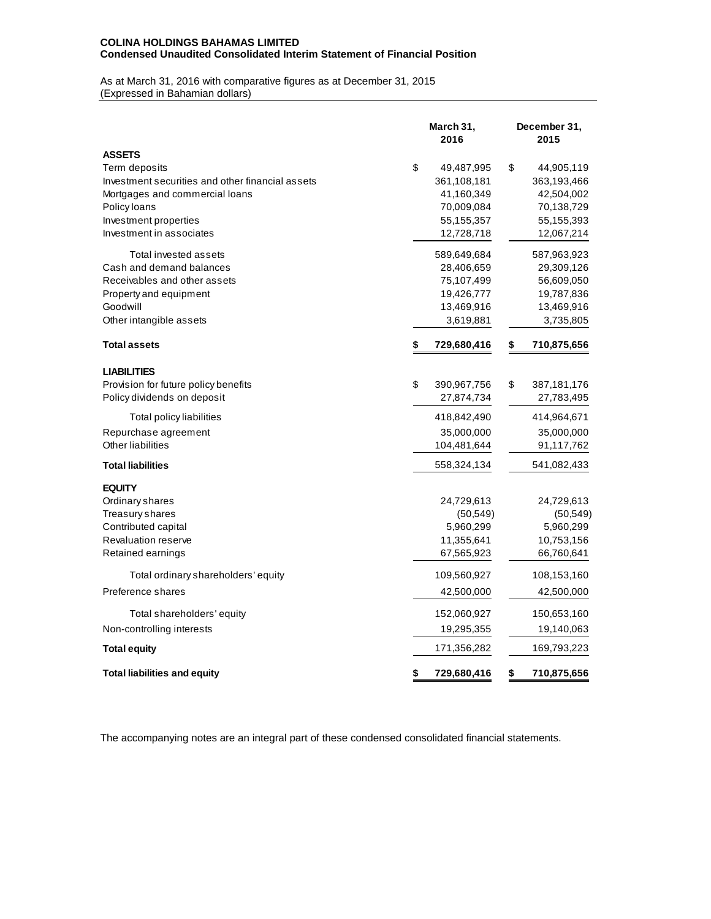# **COLINA HOLDINGS BAHAMAS LIMITED Condensed Unaudited Consolidated Interim Statement of Financial Position**

#### As at March 31, 2016 with comparative figures as at December 31, 2015 (Expressed in Bahamian dollars)

|                                                  | March 31,<br>2016 |             | December 31,<br>2015 |
|--------------------------------------------------|-------------------|-------------|----------------------|
| <b>ASSETS</b>                                    |                   |             |                      |
| Term deposits                                    | \$                | 49,487,995  | \$<br>44,905,119     |
| Investment securities and other financial assets |                   | 361,108,181 | 363,193,466          |
| Mortgages and commercial loans                   |                   | 41,160,349  | 42,504,002           |
| Policy loans                                     |                   | 70,009,084  | 70,138,729           |
| Investment properties                            |                   | 55,155,357  | 55,155,393           |
| Investment in associates                         |                   | 12,728,718  | 12,067,214           |
| Total invested assets                            |                   | 589,649,684 | 587,963,923          |
| Cash and demand balances                         |                   | 28,406,659  | 29,309,126           |
| Receivables and other assets                     |                   | 75,107,499  | 56,609,050           |
| Property and equipment                           |                   | 19,426,777  | 19,787,836           |
| Goodwill                                         |                   | 13,469,916  | 13,469,916           |
| Other intangible assets                          |                   | 3,619,881   | 3,735,805            |
| <b>Total assets</b>                              | \$                | 729,680,416 | \$<br>710,875,656    |
| <b>LIABILITIES</b>                               |                   |             |                      |
| Provision for future policy benefits             | \$                | 390,967,756 | \$<br>387, 181, 176  |
| Policy dividends on deposit                      |                   | 27,874,734  | 27,783,495           |
| Total policy liabilities                         |                   | 418,842,490 | 414,964,671          |
| Repurchase agreement                             |                   | 35,000,000  | 35,000,000           |
| Other liabilities                                |                   | 104,481,644 | 91,117,762           |
| <b>Total liabilities</b>                         |                   | 558,324,134 | 541,082,433          |
| <b>EQUITY</b>                                    |                   |             |                      |
| Ordinary shares                                  |                   | 24,729,613  | 24,729,613           |
| Treasury shares                                  |                   | (50, 549)   | (50, 549)            |
| Contributed capital                              |                   | 5,960,299   | 5,960,299            |
| <b>Revaluation reserve</b>                       |                   | 11,355,641  | 10,753,156           |
| Retained earnings                                |                   | 67,565,923  | 66,760,641           |
| Total ordinary shareholders' equity              |                   | 109,560,927 | 108,153,160          |
| Preference shares                                |                   | 42,500,000  | 42,500,000           |
| Total shareholders' equity                       |                   | 152,060,927 | 150,653,160          |
| Non-controlling interests                        |                   | 19,295,355  | 19,140,063           |
| <b>Total equity</b>                              |                   | 171,356,282 | 169,793,223          |
| <b>Total liabilities and equity</b>              | \$                | 729,680,416 | \$<br>710,875,656    |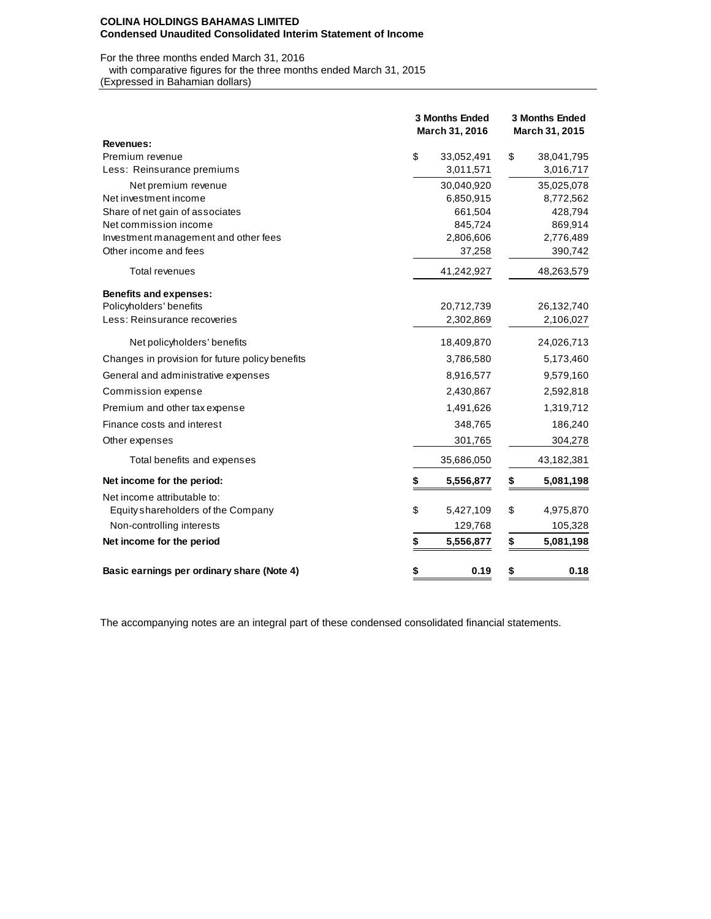#### **COLINA HOLDINGS BAHAMAS LIMITED Condensed Unaudited Consolidated Interim Statement of Income**

For the three months ended March 31, 2016

with comparative figures for the three months ended March 31, 2015

(Expressed in Bahamian dollars)

|                                                 | <b>3 Months Ended</b><br>March 31, 2016 |            | <b>3 Months Ended</b><br>March 31, 2015 |            |  |  |  |
|-------------------------------------------------|-----------------------------------------|------------|-----------------------------------------|------------|--|--|--|
| <b>Revenues:</b>                                |                                         |            |                                         |            |  |  |  |
| Premium revenue                                 | \$                                      | 33,052,491 | \$                                      | 38,041,795 |  |  |  |
| Less: Reinsurance premiums                      |                                         | 3,011,571  |                                         | 3,016,717  |  |  |  |
| Net premium revenue                             |                                         | 30,040,920 |                                         | 35,025,078 |  |  |  |
| Net investment income                           |                                         | 6,850,915  |                                         | 8,772,562  |  |  |  |
| Share of net gain of associates                 |                                         | 661,504    |                                         | 428,794    |  |  |  |
| Net commission income                           |                                         | 845,724    |                                         | 869,914    |  |  |  |
| Investment management and other fees            |                                         | 2,806,606  |                                         | 2,776,489  |  |  |  |
| Other income and fees                           |                                         | 37,258     |                                         | 390,742    |  |  |  |
| <b>Total revenues</b>                           |                                         | 41,242,927 |                                         | 48,263,579 |  |  |  |
| <b>Benefits and expenses:</b>                   |                                         |            |                                         |            |  |  |  |
| Policyholders' benefits                         |                                         | 20,712,739 |                                         | 26,132,740 |  |  |  |
| Less: Reinsurance recoveries                    |                                         | 2,302,869  |                                         | 2,106,027  |  |  |  |
| Net policyholders' benefits                     |                                         | 18,409,870 |                                         | 24,026,713 |  |  |  |
| Changes in provision for future policy benefits |                                         | 3,786,580  |                                         | 5,173,460  |  |  |  |
| General and administrative expenses             |                                         | 8,916,577  |                                         | 9,579,160  |  |  |  |
| Commission expense                              |                                         | 2,430,867  |                                         | 2,592,818  |  |  |  |
| Premium and other tax expense                   |                                         | 1,491,626  |                                         | 1,319,712  |  |  |  |
| Finance costs and interest                      |                                         | 348,765    |                                         | 186,240    |  |  |  |
| Other expenses                                  |                                         | 301,765    |                                         | 304,278    |  |  |  |
| Total benefits and expenses                     |                                         | 35,686,050 |                                         | 43,182,381 |  |  |  |
| Net income for the period:                      | \$                                      | 5,556,877  | \$                                      | 5,081,198  |  |  |  |
| Net income attributable to:                     |                                         |            |                                         |            |  |  |  |
| Equity shareholders of the Company              | \$                                      | 5,427,109  | \$                                      | 4,975,870  |  |  |  |
| Non-controlling interests                       |                                         | 129,768    |                                         | 105,328    |  |  |  |
| Net income for the period                       | \$                                      | 5,556,877  | \$                                      | 5,081,198  |  |  |  |
| Basic earnings per ordinary share (Note 4)      | \$                                      | 0.19       | \$                                      | 0.18       |  |  |  |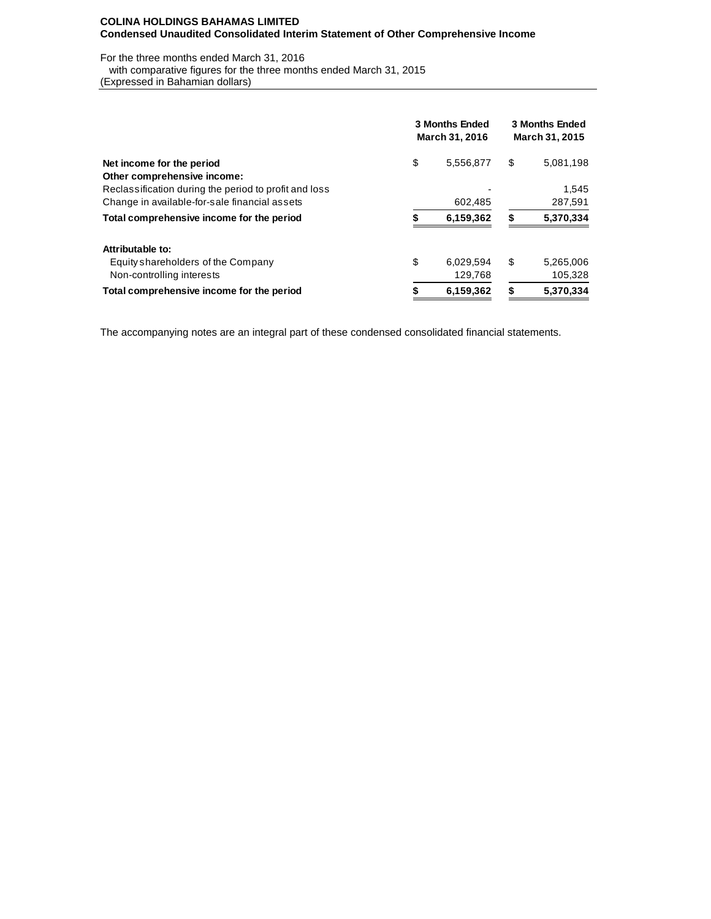## **COLINA HOLDINGS BAHAMAS LIMITED Condensed Unaudited Consolidated Interim Statement of Other Comprehensive Income**

## For the three months ended March 31, 2016

with comparative figures for the three months ended March 31, 2015

(Expressed in Bahamian dollars)

|                                                                                      |                 | <b>3 Months Ended</b><br>March 31, 2016 | <b>3 Months Ended</b><br>March 31, 2015 |           |  |  |
|--------------------------------------------------------------------------------------|-----------------|-----------------------------------------|-----------------------------------------|-----------|--|--|
| Net income for the period                                                            | \$              | 5,556,877                               | S                                       | 5,081,198 |  |  |
| Other comprehensive income:<br>Reclassification during the period to profit and loss |                 |                                         |                                         | 1,545     |  |  |
| Change in available-for-sale financial assets                                        |                 | 602,485                                 |                                         | 287,591   |  |  |
| Total comprehensive income for the period                                            |                 | 6,159,362                               | S                                       | 5,370,334 |  |  |
| Attributable to:                                                                     |                 |                                         |                                         |           |  |  |
| Equity shareholders of the Company                                                   | \$              | 6,029,594                               | \$                                      | 5,265,006 |  |  |
| Non-controlling interests                                                            |                 | 129,768                                 |                                         | 105,328   |  |  |
| Total comprehensive income for the period                                            | \$<br>6,159,362 |                                         |                                         | 5,370,334 |  |  |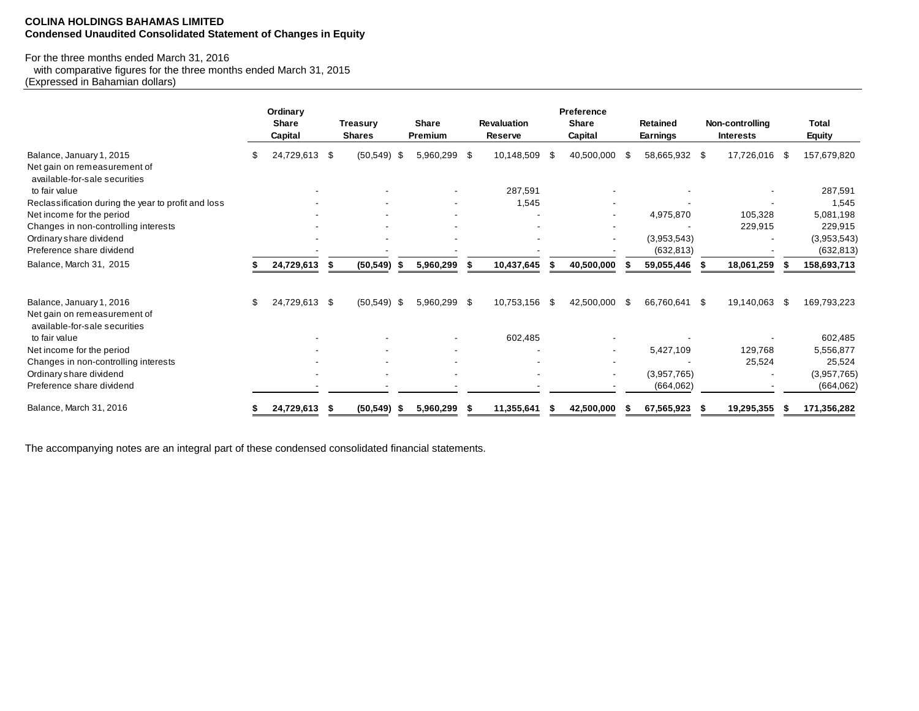## **COLINA HOLDINGS BAHAMAS LIMITED Condensed Unaudited Consolidated Statement of Changes in Equity**

# For the three months ended March 31, 2016

 with comparative figures for the three months ended March 31, 2015 (Expressed in Bahamian dollars)

|                                                                                           | Ordinary<br><b>Share</b><br>Capital |     | <b>Treasury</b><br><b>Shares</b> |     | <b>Share</b><br>Premium  | <b>Revaluation</b><br>Reserve |     | Preference<br><b>Share</b><br>Capital |      | <b>Retained</b><br><b>Earnings</b> | Non-controlling<br><b>Interests</b> |      | Total<br><b>Equity</b>    |
|-------------------------------------------------------------------------------------------|-------------------------------------|-----|----------------------------------|-----|--------------------------|-------------------------------|-----|---------------------------------------|------|------------------------------------|-------------------------------------|------|---------------------------|
| Balance, January 1, 2015<br>Net gain on remeasurement of<br>available-for-sale securities | 24,729,613                          | -\$ | (50, 549)                        | -\$ | 5,960,299 \$             | 10,148,509                    | \$. | 40,500,000                            | \$.  | 58,665,932 \$                      | 17,726,016                          | - \$ | 157,679,820               |
| to fair value                                                                             |                                     |     |                                  |     |                          | 287,591                       |     |                                       |      |                                    |                                     |      | 287,591                   |
| Reclassification during the year to profit and loss                                       |                                     |     |                                  |     | ۰                        | 1,545                         |     |                                       |      |                                    |                                     |      | 1,545                     |
| Net income for the period                                                                 |                                     |     |                                  |     |                          |                               |     |                                       |      | 4,975,870                          | 105,328                             |      | 5,081,198                 |
| Changes in non-controlling interests                                                      |                                     |     |                                  |     |                          |                               |     |                                       |      |                                    | 229,915                             |      | 229,915                   |
| Ordinary share dividend<br>Preference share dividend                                      |                                     |     |                                  |     |                          |                               |     |                                       |      | (3,953,543)<br>(632, 813)          |                                     |      | (3,953,543)<br>(632, 813) |
| Balance, March 31, 2015                                                                   | 24,729,613                          |     | (50, 549)                        |     | 5,960,299                | 10,437,645                    |     | 40,500,000                            |      | 59,055,446                         | 18,061,259                          |      | 158,693,713               |
| Balance, January 1, 2016                                                                  | \$<br>24,729,613 \$                 |     | $(50,549)$ \$                    |     | 5,960,299 \$             | 10.753.156                    | -\$ | 42.500.000                            | - \$ | 66,760,641 \$                      | 19.140.063                          | -\$  | 169,793,223               |
| Net gain on remeasurement of<br>available-for-sale securities                             |                                     |     |                                  |     |                          |                               |     |                                       |      |                                    |                                     |      |                           |
| to fair value                                                                             |                                     |     |                                  |     | $\overline{\phantom{a}}$ | 602,485                       |     |                                       |      |                                    |                                     |      | 602,485                   |
| Net income for the period                                                                 |                                     |     |                                  |     |                          |                               |     |                                       |      | 5,427,109                          | 129,768                             |      | 5,556,877                 |
| Changes in non-controlling interests                                                      |                                     |     |                                  |     |                          |                               |     |                                       |      |                                    | 25,524                              |      | 25,524                    |
| Ordinary share dividend                                                                   |                                     |     |                                  |     |                          |                               |     |                                       |      | (3,957,765)                        |                                     |      | (3,957,765)               |
| Preference share dividend                                                                 |                                     |     |                                  |     |                          |                               |     |                                       |      | (664, 062)                         |                                     |      | (664, 062)                |
| Balance, March 31, 2016                                                                   | 24,729,613                          |     | (50, 549)                        |     | 5,960,299                | 11,355,641                    |     | 42,500,000                            |      | 67,565,923                         | 19,295,355                          |      | 171,356,282               |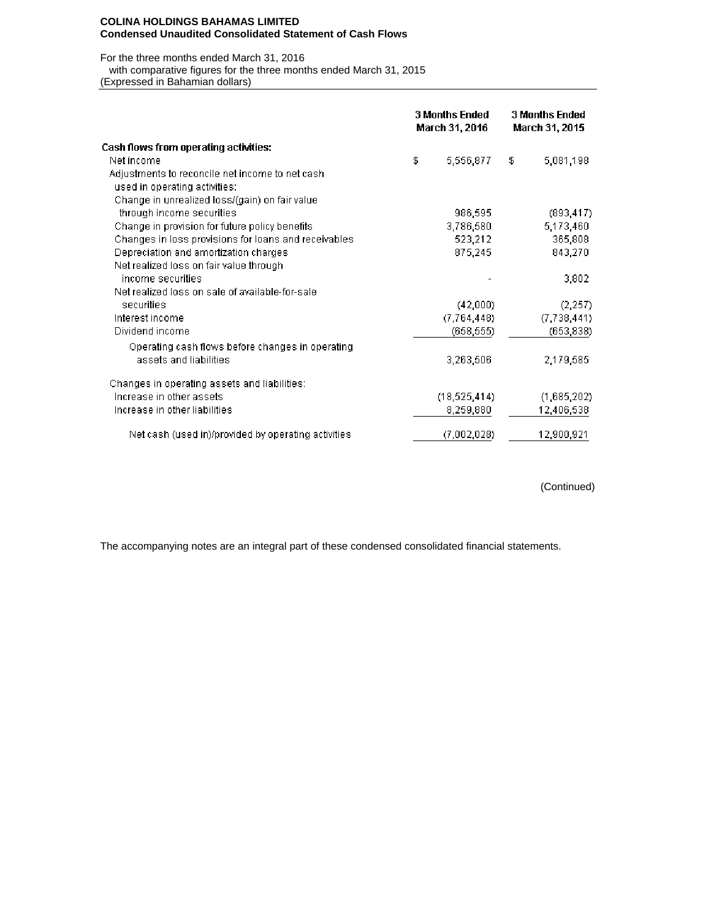### **COLINA HOLDINGS BAHAMAS LIMITED Condensed Unaudited Consolidated Statement of Cash Flows**

For the three months ended March 31, 2016

with comparative figures for the three months ended March 31, 2015

(Expressed in Bahamian dollars)

|                                                                                   | <b>3 Months Ended</b><br>March 31, 2016 |                | <b>3 Months Ended</b><br>March 31, 2015 |             |  |  |
|-----------------------------------------------------------------------------------|-----------------------------------------|----------------|-----------------------------------------|-------------|--|--|
| Cash flows from operating activities:                                             |                                         |                |                                         |             |  |  |
| Net income                                                                        | \$                                      | 5,556,877      | \$                                      | 5,081,198   |  |  |
| Adjustments to reconcile net income to net cash.<br>used in operating activities: |                                         |                |                                         |             |  |  |
| Change in unrealized loss/(gain) on fair value                                    |                                         |                |                                         |             |  |  |
| through income securities                                                         |                                         | 986,595        |                                         | (893, 417)  |  |  |
| Change in provision for future policy benefits                                    |                                         | 3,786,580      |                                         | 5,173,460   |  |  |
| Changes in loss provisions for loans and receivables                              |                                         | 523,212        |                                         | 365,808     |  |  |
| Depreciation and amortization charges                                             |                                         | 875,245        |                                         | 843,270     |  |  |
| Net realized loss on fair value through                                           |                                         |                |                                         |             |  |  |
| income securities.                                                                |                                         |                |                                         | 3,802       |  |  |
| Net realized loss on sale of available-for-sale                                   |                                         |                |                                         |             |  |  |
| securities                                                                        |                                         | (42,000)       |                                         | (2, 257)    |  |  |
| Interest income                                                                   |                                         | (7, 764, 448)  |                                         | (7,738,441) |  |  |
| Dividend income                                                                   |                                         | (658, 555)     |                                         | (653, 838)  |  |  |
| Operating cash flows before changes in operating                                  |                                         |                |                                         |             |  |  |
| assets and liabilities                                                            |                                         | 3,263,506      |                                         | 2,179,585   |  |  |
| Changes in operating assets and liabilities:                                      |                                         |                |                                         |             |  |  |
| Increase in other assets                                                          |                                         | (18, 525, 414) |                                         | (1,685,202) |  |  |
| Increase in other liabilities                                                     |                                         | 8,259,880      |                                         | 12,406,538  |  |  |
| Net cash (used in)/provided by operating activities                               |                                         | (7,002,028)    |                                         | 12,900,921  |  |  |

(Continued)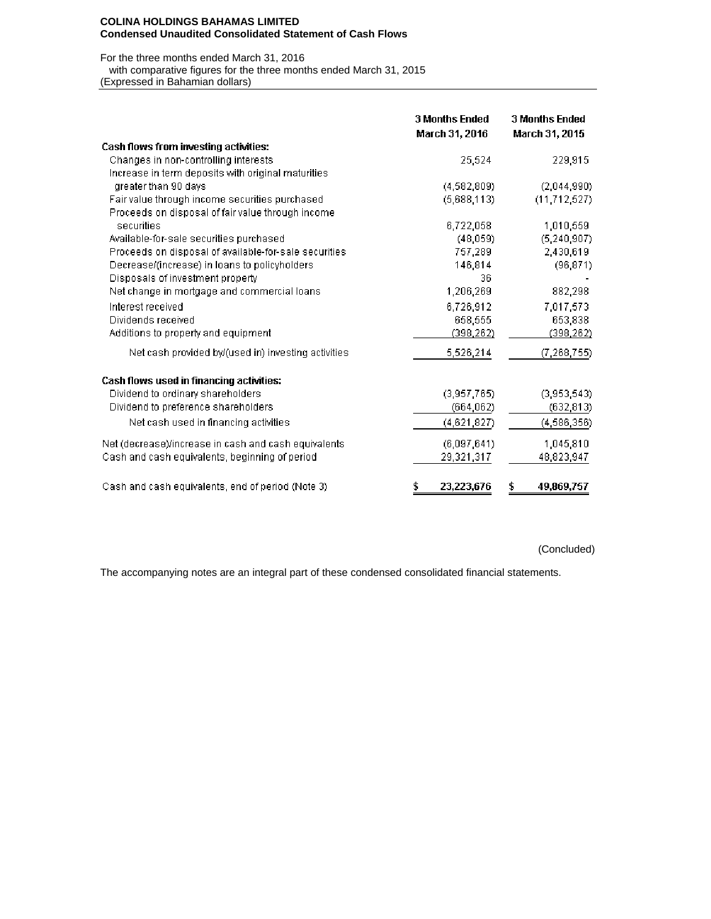### **COLINA HOLDINGS BAHAMAS LIMITED Condensed Unaudited Consolidated Statement of Cash Flows**

For the three months ended March 31, 2016

with comparative figures for the three months ended March 31, 2015

(Expressed in Bahamian dollars)

|                                                       | <b>3 Months Ended</b><br>March 31, 2016 | <b>3 Months Ended</b><br>March 31, 2015 |
|-------------------------------------------------------|-----------------------------------------|-----------------------------------------|
| <b>Cash flows from investing activities:</b>          |                                         |                                         |
| Changes in non-controlling interests                  | 25,524                                  | 229,915                                 |
| Increase in term deposits with original maturities    |                                         |                                         |
| greater than 90 days                                  | (4, 582, 809)                           | (2,044,990)                             |
| Fair value through income securities purchased        | (5,688,113)                             | (11, 712, 527)                          |
| Proceeds on disposal of fair value through income     |                                         |                                         |
| securities                                            | 6,722,058                               | 1,010,559                               |
| Available-for-sale securities purchased               | (48,059)                                | (5, 240, 907)                           |
| Proceeds on disposal of available-for-sale securities | 757,289                                 | 2,430,619                               |
| Decrease/(increase) in loans to policyholders         | 146,814                                 | (96, 871)                               |
| Disposals of investment property                      | 36                                      |                                         |
| Net change in mortgage and commercial loans           | 1,206,269                               | 882,298                                 |
| Interest received                                     | 6,726,912                               | 7,017,573                               |
| Dividends received                                    | 658,555                                 | 653,838                                 |
| Additions to property and equipment                   | (398, 262)                              | (398, 262)                              |
| Net cash provided by/(used in) investing activities   | 5,526,214                               | (7, 268, 755)                           |
| Cash flows used in financing activities:              |                                         |                                         |
| Dividend to ordinary shareholders                     | (3,957,765)                             | (3,953,543)                             |
| Dividend to preference shareholders                   | (664, 062)                              | (632, 813)                              |
| Net cash used in financing activities                 | (4,621,827)                             | (4,586,356)                             |
| Net (decrease)/increase in cash and cash equivalents  | (6,097,641)                             | 1,045,810                               |
| Cash and cash equivalents, beginning of period        | 29,321,317                              | 48,823,947                              |
| Cash and cash equivalents, end of period (Note 3)     | \$<br>23,223,676                        | \$<br>49,869,757                        |

(Concluded)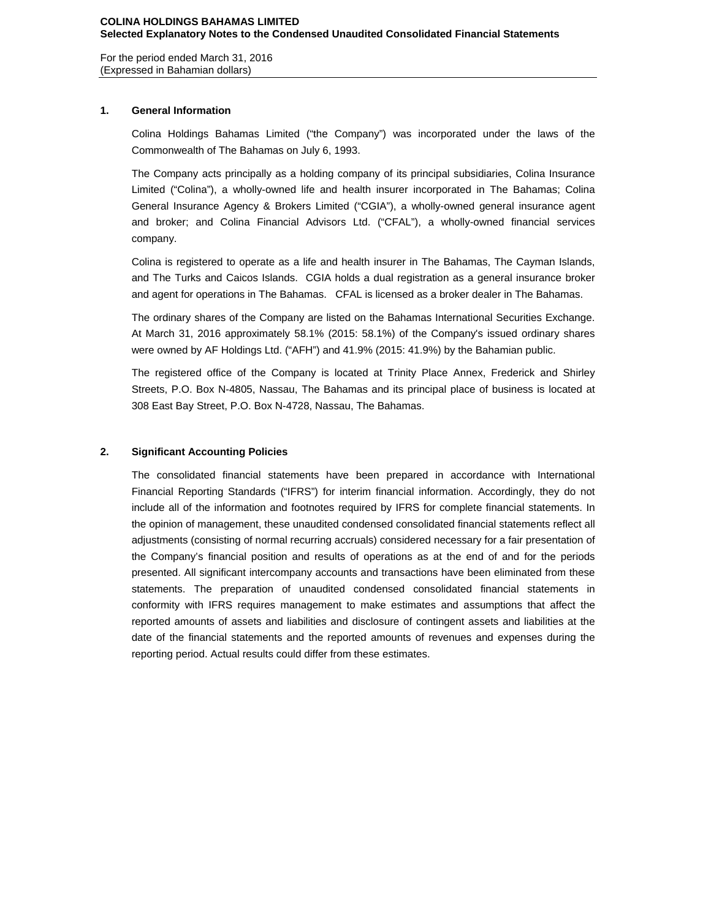For the period ended March 31, 2016 (Expressed in Bahamian dollars)

### **1. General Information**

Colina Holdings Bahamas Limited ("the Company") was incorporated under the laws of the Commonwealth of The Bahamas on July 6, 1993.

The Company acts principally as a holding company of its principal subsidiaries, Colina Insurance Limited ("Colina"), a wholly-owned life and health insurer incorporated in The Bahamas; Colina General Insurance Agency & Brokers Limited ("CGIA"), a wholly-owned general insurance agent and broker; and Colina Financial Advisors Ltd. ("CFAL"), a wholly-owned financial services company.

Colina is registered to operate as a life and health insurer in The Bahamas, The Cayman Islands, and The Turks and Caicos Islands. CGIA holds a dual registration as a general insurance broker and agent for operations in The Bahamas. CFAL is licensed as a broker dealer in The Bahamas.

The ordinary shares of the Company are listed on the Bahamas International Securities Exchange. At March 31, 2016 approximately 58.1% (2015: 58.1%) of the Company's issued ordinary shares were owned by AF Holdings Ltd. ("AFH") and 41.9% (2015: 41.9%) by the Bahamian public.

The registered office of the Company is located at Trinity Place Annex, Frederick and Shirley Streets, P.O. Box N-4805, Nassau, The Bahamas and its principal place of business is located at 308 East Bay Street, P.O. Box N-4728, Nassau, The Bahamas.

### **2. Significant Accounting Policies**

The consolidated financial statements have been prepared in accordance with International Financial Reporting Standards ("IFRS") for interim financial information. Accordingly, they do not include all of the information and footnotes required by IFRS for complete financial statements. In the opinion of management, these unaudited condensed consolidated financial statements reflect all adjustments (consisting of normal recurring accruals) considered necessary for a fair presentation of the Company's financial position and results of operations as at the end of and for the periods presented. All significant intercompany accounts and transactions have been eliminated from these statements. The preparation of unaudited condensed consolidated financial statements in conformity with IFRS requires management to make estimates and assumptions that affect the reported amounts of assets and liabilities and disclosure of contingent assets and liabilities at the date of the financial statements and the reported amounts of revenues and expenses during the reporting period. Actual results could differ from these estimates.